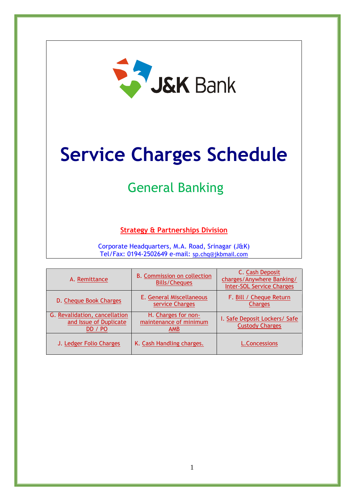

# **Service Charges Schedule**

## General Banking

#### **Strategy & Partnerships Division**

Corporate Headquarters, M.A. Road, Srinagar (J&K) Tel/Fax: 0194-2502649 e-mail: [sp.chq@jkbmail.com](mailto:sp.chq@jkbmail.com)

| A. Remittance                                                      | <b>B. Commission on collection</b><br><b>Bills/Cheques</b>  | C. Cash Deposit<br>charges/Anywhere Banking/<br><b>Inter-SOL Service Charges</b> |
|--------------------------------------------------------------------|-------------------------------------------------------------|----------------------------------------------------------------------------------|
| D. Cheque Book Charges                                             | E. General Miscellaneous<br>service Charges                 | F. Bill / Cheque Return<br><b>Charges</b>                                        |
| G. Revalidation, cancellation<br>and Issue of Duplicate<br>DD / PO | H. Charges for non-<br>maintenance of minimum<br><b>AMB</b> | I. Safe Deposit Lockers/ Safe<br><b>Custody Charges</b>                          |
| J. Ledger Folio Charges                                            | K. Cash Handling charges.                                   | <b>L.Concessions</b>                                                             |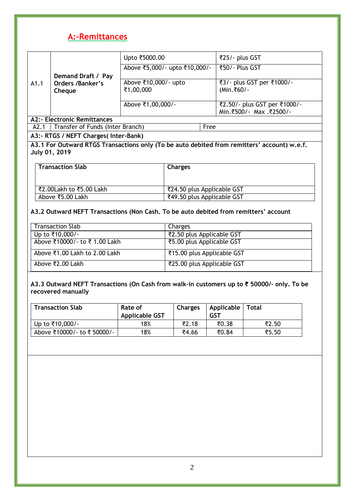### <span id="page-1-0"></span>**A:-Remittances**

|                                    |                                  | Upto ₹5000.00                 | ₹25/- plus GST               |
|------------------------------------|----------------------------------|-------------------------------|------------------------------|
|                                    |                                  | Above ₹5,000/- upto ₹10,000/- | ₹50/- Plus GST               |
|                                    | Demand Draft / Pay               |                               |                              |
| A1.1                               | Orders /Banker's                 | Above ₹10,000/- upto          | ₹3/- plus GST per ₹1000/-    |
|                                    | Cheque                           | ₹1,00,000                     | (Min.₹60/-                   |
|                                    |                                  |                               |                              |
|                                    |                                  | Above ₹1,00,000/-             | ₹2.50/- plus GST per ₹1000/- |
|                                    |                                  |                               | Min.₹500/- Max.₹2500/-       |
| <b>A2:- Electronic Remittances</b> |                                  |                               |                              |
| A2.1                               | Transfer of Funds (Inter Branch) |                               | Free                         |

#### **A3:- RTGS / NEFT Charges( Inter-Bank)**

**A3.1 For Outward RTGS Transactions only (To be auto debited from remitters' account) w.e.f. July 01, 2019**

| <b>Transaction Slab</b> | <b>Charges</b>             |
|-------------------------|----------------------------|
|                         |                            |
| ₹2.00Lakh to ₹5.00 Lakh | ₹24.50 plus Applicable GST |
| Above ₹5.00 Lakh        | ₹49.50 plus Applicable GST |

#### **A3.2 Outward NEFT Transactions (Non Cash. To be auto debited from remitters' account**

| <b>Transaction Slab</b>       | Charges                    |
|-------------------------------|----------------------------|
| Up to ₹10,000/-               | ₹2.50 plus Applicable GST  |
| Above ₹10000/- to ₹1.00 Lakh  | ₹5.00 plus Applicable GST  |
| Above ₹1.00 Lakh to 2.00 Lakh | ₹15.00 plus Applicable GST |
| Above ₹2.00 Lakh              | ₹25.00 plus Applicable GST |

#### **A3.3 Outward NEFT Transactions (On Cash from walk-in customers up to ₹ 50000/- only. To be recovered manually**

| <b>Transaction Slab</b>    | Rate of<br><b>Applicable GST</b> | <b>Charges</b> | Applicable   Total<br><b>GST</b> |       |
|----------------------------|----------------------------------|----------------|----------------------------------|-------|
| Up to ₹10,000/-            | 18%                              | ₹2.18          | ₹0.38                            | ₹2.50 |
| Above ₹10000/- to ₹50000/- | 18%                              | ₹4.66          | ₹0.84                            | ₹5.50 |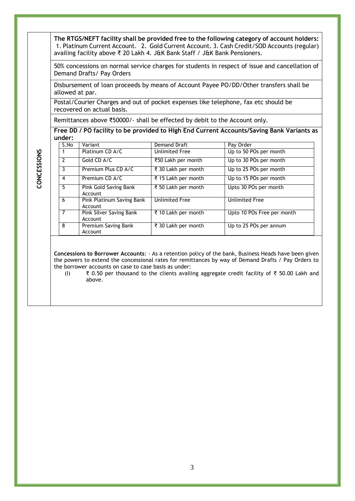**The RTGS/NEFT facility shall be provided free to the following category of account holders:** 1. Platinum Current Account. 2. Gold Current Account. 3. Cash Credit/SOD Accounts (regular) availing facility above ₹ 20 Lakh 4. J&K Bank Staff / J&K Bank Pensioners.

50% concessions on normal service charges for students in respect of issue and cancellation of Demand Drafts/ Pay Orders

Disbursement of loan proceeds by means of Account Payee PO/DD/Other transfers shall be allowed at par.

Postal/Courier Charges and out of pocket expenses like telephone, fax etc should be recovered on actual basis.

Remittances above ₹50000/- shall be effected by debit to the Account only.

**Free DD / PO facility to be provided to High End Current Accounts/Saving Bank Variants as under:**

| S.No | Variant                              | Demand Draft          | Pay Order                  |
|------|--------------------------------------|-----------------------|----------------------------|
|      | Platinum CD A/C                      | <b>Unlimited Free</b> | Up to 50 POs per month     |
| 2    | Gold CD A/C                          | ₹50 Lakh per month    | Up to 30 POs per month     |
| 3    | Premium Plus CD A/C                  | ₹ 30 Lakh per month   | Up to 25 POs per month     |
| 4    | Premium CD A/C                       | ₹ 15 Lakh per month   | Up to 15 POs per month     |
| 5.   | Pink Gold Saving Bank<br>Account     | ₹ 50 Lakh per month   | Upto 30 POs per month      |
| 6    | Pink Platinum Saving Bank<br>Account | <b>Unlimited Free</b> | <b>Unlimited Free</b>      |
|      | Pink Silver Saving Bank<br>Account   | र 10 Lakh per month   | Upto 10 POs Free per month |
| 8    | Premium Saving Bank<br>Account       | ₹ 30 Lakh per month   | Up to 25 POs per annum     |

**Concessions to Borrower Accounts**: - As a retention policy of the bank, Business Heads have been given the powers to extend the concessional rates for remittances by way of Demand Drafts / Pay Orders to the borrower accounts on case to case basis as under:

(I) ₹ 0.50 per thousand to the clients availing aggregate credit facility of ₹ 50.00 Lakh and above.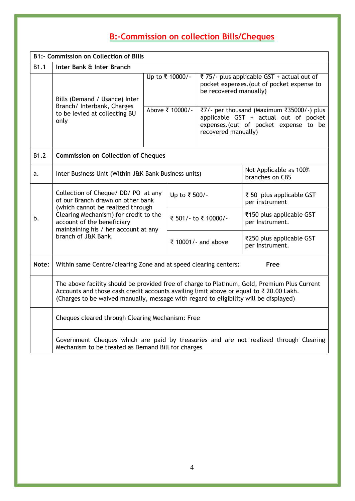## <span id="page-3-0"></span>**B:-Commission on collection Bills/Cheques**

<span id="page-3-1"></span>

|       | <b>B1:- Commission on Collection of Bills</b>                                                                                                                                                                                                                                   |  |                                           |                                               |                                                                                                                                                                                                                          |
|-------|---------------------------------------------------------------------------------------------------------------------------------------------------------------------------------------------------------------------------------------------------------------------------------|--|-------------------------------------------|-----------------------------------------------|--------------------------------------------------------------------------------------------------------------------------------------------------------------------------------------------------------------------------|
| B1.1  | Inter Bank & Inter Branch                                                                                                                                                                                                                                                       |  |                                           |                                               |                                                                                                                                                                                                                          |
|       | Bills (Demand / Usance) Inter<br>Branch/ Interbank, Charges<br>to be levied at collecting BU<br>only                                                                                                                                                                            |  | Up to ₹ 10000/-<br>Above ₹ 10000/-        | be recovered manually)<br>recovered manually) | ₹ 75/- plus applicable GST + actual out of<br>pocket expenses. (out of pocket expense to<br>₹7/- per thousand (Maximum ₹35000/-) plus<br>applicable GST + actual out of pocket<br>expenses. (out of pocket expense to be |
| B1.2  | <b>Commission on Collection of Cheques</b>                                                                                                                                                                                                                                      |  |                                           |                                               |                                                                                                                                                                                                                          |
| a.    | Inter Business Unit (Within J&K Bank Business units)                                                                                                                                                                                                                            |  | Not Applicable as 100%<br>branches on CBS |                                               |                                                                                                                                                                                                                          |
|       | Collection of Cheque/ DD/ PO at any<br>of our Branch drawn on other bank                                                                                                                                                                                                        |  | Up to ₹ 500/-                             |                                               | ₹ 50 plus applicable GST<br>per instrument                                                                                                                                                                               |
| b.    | (which cannot be realized through<br>Clearing Mechanism) for credit to the<br>account of the beneficiary<br>maintaining his / her account at any<br>branch of J&K Bank.                                                                                                         |  |                                           | ₹ 501/- to ₹ 10000/-                          | ₹150 plus applicable GST<br>per Instrument.                                                                                                                                                                              |
|       |                                                                                                                                                                                                                                                                                 |  |                                           | ₹ 10001/- and above                           | ₹250 plus applicable GST<br>per Instrument.                                                                                                                                                                              |
| Note: | Within same Centre/clearing Zone and at speed clearing centers:                                                                                                                                                                                                                 |  |                                           |                                               | Free                                                                                                                                                                                                                     |
|       | The above facility should be provided free of charge to Platinum, Gold, Premium Plus Current<br>Accounts and those cash credit accounts availing limit above or equal to ₹ 20.00 Lakh.<br>(Charges to be waived manually, message with regard to eligibility will be displayed) |  |                                           |                                               |                                                                                                                                                                                                                          |
|       | Cheques cleared through Clearing Mechanism: Free                                                                                                                                                                                                                                |  |                                           |                                               |                                                                                                                                                                                                                          |
|       | Government Cheques which are paid by treasuries and are not realized through Clearing<br>Mechanism to be treated as Demand Bill for charges                                                                                                                                     |  |                                           |                                               |                                                                                                                                                                                                                          |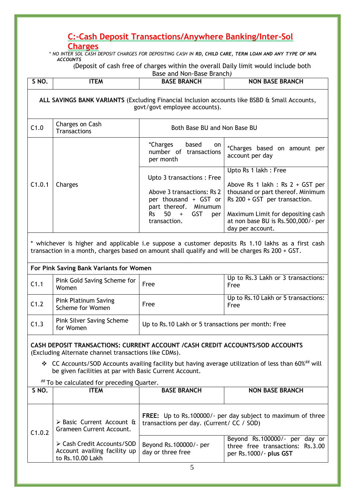### **C:-Cash Deposit Transactions/Anywhere Banking/Inter-Sol**

#### **Charges**

*\* NO INTER SOL CASH DEPOSIT CHARGES FOR DEPOSITING CASH IN RD, CHILD CARE, TERM LOAN AND ANY TYPE OF NPA ACCOUNTS*

(Deposit of cash free of charges within the overall Daily limit would include both

|        | Base and Non-Base Branch)                                                                                                      |                                                                                                                                                             |                                                                                                                                                                                                                                   |  |  |
|--------|--------------------------------------------------------------------------------------------------------------------------------|-------------------------------------------------------------------------------------------------------------------------------------------------------------|-----------------------------------------------------------------------------------------------------------------------------------------------------------------------------------------------------------------------------------|--|--|
| S NO.  | <b>ITEM</b>                                                                                                                    | <b>BASE BRANCH</b>                                                                                                                                          | <b>NON BASE BRANCH</b>                                                                                                                                                                                                            |  |  |
|        | ALL SAVINGS BANK VARIANTS (Excluding Financial Inclusion accounts like BSBD & Small Accounts,<br>govt/govt employee accounts). |                                                                                                                                                             |                                                                                                                                                                                                                                   |  |  |
| C1.0   | Charges on Cash<br><b>Transactions</b>                                                                                         | Both Base BU and Non Base BU                                                                                                                                |                                                                                                                                                                                                                                   |  |  |
|        |                                                                                                                                | <i>*</i> Charges<br>based<br>on.<br>number of transactions<br>per month                                                                                     | *Charges based on amount per<br>account per day                                                                                                                                                                                   |  |  |
| C1.0.1 | Charges                                                                                                                        | Upto 3 transactions: Free<br>Above 3 transactions: Rs 2<br>per thousand + GST or<br>part thereof. Minumum<br><b>GST</b><br>$Rs$ 50 +<br>per<br>transaction. | Upto Rs 1 lakh: Free<br>Above Rs 1 lakh : Rs $2 + GST$ per<br>thousand or part thereof. Minimum<br>$Rs$ 200 + GST per transaction.<br>Maximum Limit for depositing cash<br>at non base BU is Rs.500,000/- per<br>day per account. |  |  |

\* whichever is higher and applicable i.e suppose a customer deposits Rs 1.10 lakhs as a first cash transaction in a month, charges based on amount shall qualify and will be charges Rs 200 + GST.

### **For Pink Saving Bank Variants for Women**

| C1.1 | Pink Gold Saving Scheme for  <br>Women          | Free                                               | Up to Rs.3 Lakh or 3 transactions:<br>Free   |
|------|-------------------------------------------------|----------------------------------------------------|----------------------------------------------|
| C1.2 | <b>Pink Platinum Saving</b><br>Scheme for Women | Free                                               | Up to Rs. 10 Lakh or 5 transactions:<br>Free |
| C1.3 | Pink Silver Saving Scheme<br>for Women          | Up to Rs.10 Lakh or 5 transactions per month: Free |                                              |

#### **CASH DEPOSIT TRANSACTIONS: CURRENT ACCOUNT /CASH CREDIT ACCOUNTS/SOD ACCOUNTS**  (Excluding Alternate channel transactions like CDMs).

 $\div$  CC Accounts/SOD Accounts availing facility but having average utilization of less than 60%<sup>##</sup> will be given facilities at par with Basic Current Account.

## To be calculated for preceding Quarter.

| SNO.                                                                           | <b>ITEM</b>                                                                                                     | <b>BASE BRANCH</b>                           | <b>NON BASE BRANCH</b>                                                                      |
|--------------------------------------------------------------------------------|-----------------------------------------------------------------------------------------------------------------|----------------------------------------------|---------------------------------------------------------------------------------------------|
|                                                                                |                                                                                                                 |                                              |                                                                                             |
| $\triangleright$ Basic Current Account &<br>Grameen Current Account.<br>C1.0.2 | <b>FREE:</b> Up to Rs.100000/- per day subject to maximum of three<br>transactions per day. (Current/ CC / SOD) |                                              |                                                                                             |
|                                                                                | > Cash Credit Accounts/SOD<br>Account availing facility up<br>to Rs. 10.00 Lakh                                 | Beyond Rs. 100000/- per<br>day or three free | Beyond Rs.100000/- per day or<br>three free transactions: Rs.3.00<br>per Rs.1000/- plus GST |
|                                                                                |                                                                                                                 |                                              |                                                                                             |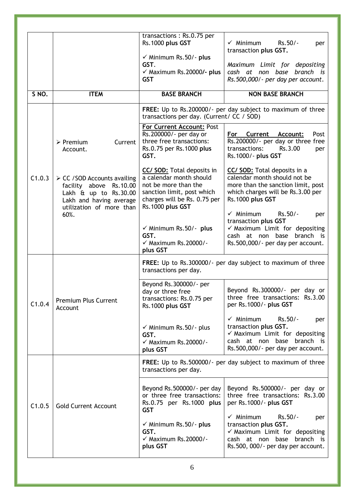|        |                                                                                                                                                  | transactions: Rs.0.75 per<br>Rs.1000 plus GST                                                                                                                          | $\checkmark$ Minimum<br>Rs.50/-<br>per<br>transaction plus GST.                                                                                                                  |  |
|--------|--------------------------------------------------------------------------------------------------------------------------------------------------|------------------------------------------------------------------------------------------------------------------------------------------------------------------------|----------------------------------------------------------------------------------------------------------------------------------------------------------------------------------|--|
|        |                                                                                                                                                  | $\checkmark$ Minimum Rs.50/- plus<br>GST.<br>$\checkmark$ Maximum Rs. 20000/- plus<br><b>GST</b>                                                                       | Maximum Limit for depositing<br>cash at non base branch is<br>Rs.500,000/- per day per account.                                                                                  |  |
| S NO.  | <b>ITEM</b>                                                                                                                                      | <b>BASE BRANCH</b>                                                                                                                                                     | <b>NON BASE BRANCH</b>                                                                                                                                                           |  |
|        |                                                                                                                                                  | transactions per day. (Current/CC / SOD)                                                                                                                               | FREE: Up to Rs.200000/- per day subject to maximum of three                                                                                                                      |  |
|        | Current<br>$\triangleright$ Premium<br>Account.                                                                                                  | For Current Account: Post<br>Rs.200000/- per day or<br>three free transactions:<br>Rs.0.75 per Rs.1000 plus<br>GST.                                                    | For<br>Post<br>Current<br>Account:<br>Rs.200000/- per day or three free<br>transactions:<br>Rs.3.00<br>per<br>Rs.1000/- plus GST                                                 |  |
| C1.0.3 | > CC / SOD Accounts availing<br>facility above Rs.10.00<br>Lakh $\hat{a}$ up to Rs. 30.00<br>Lakh and having average<br>utilization of more than | <b>CC/ SOD:</b> Total deposits in<br>a calendar month should<br>not be more than the<br>sanction limit, post which<br>charges will be Rs. 0.75 per<br>Rs.1000 plus GST | CC/ SOD: Total deposits in a<br>calendar month should not be<br>more than the sanction limit, post<br>which charges will be Rs.3.00 per<br>Rs.1000 plus GST                      |  |
|        | 60%.                                                                                                                                             | $\checkmark$ Minimum Rs.50/- plus<br>GST.<br>$\checkmark$ Maximum Rs.20000/-<br>plus GST                                                                               | $\checkmark$ Minimum<br>Rs.50/-<br>per<br>transaction plus GST<br>$\checkmark$ Maximum Limit for depositing<br>cash at non base branch is<br>Rs.500,000/- per day per account.   |  |
|        | <b>Premium Plus Current</b><br>Account                                                                                                           | FREE: Up to Rs.300000/- per day subject to maximum of three<br>transactions per day.                                                                                   |                                                                                                                                                                                  |  |
| C1.0.4 |                                                                                                                                                  | Beyond Rs. 300000/- per<br>day or three free<br>transactions: Rs.0.75 per<br>Rs.1000 plus GST                                                                          | Beyond Rs.300000/- per day or<br>three free transactions: Rs.3.00<br>per Rs.1000/- plus GST                                                                                      |  |
|        |                                                                                                                                                  | $\checkmark$ Minimum Rs.50/- plus<br>GST.<br>$\checkmark$ Maximum Rs. 20000/-<br>plus GST                                                                              | $\checkmark$ Minimum<br>Rs.50/-<br>per<br>transaction plus GST.<br>$\checkmark$ Maximum Limit for depositing<br>cash at non base branch is<br>Rs.500,000/- per day per account.  |  |
|        |                                                                                                                                                  | transactions per day.                                                                                                                                                  | FREE: Up to Rs.500000/- per day subject to maximum of three                                                                                                                      |  |
| C1.0.5 | <b>Gold Current Account</b>                                                                                                                      | Beyond Rs.500000/- per day<br>or three free transactions:<br>Rs.0.75 per Rs.1000 plus<br><b>GST</b>                                                                    | Beyond Rs.500000/- per day or<br>three free transactions: Rs.3.00<br>per Rs.1000/- plus GST                                                                                      |  |
|        |                                                                                                                                                  | $\checkmark$ Minimum Rs.50/- plus<br>GST.<br>$\checkmark$ Maximum Rs. 20000/-<br>plus GST                                                                              | $\checkmark$ Minimum<br>Rs.50/-<br>per<br>transaction plus GST.<br>$\checkmark$ Maximum Limit for depositing<br>cash at non base branch is<br>Rs.500, 000/- per day per account. |  |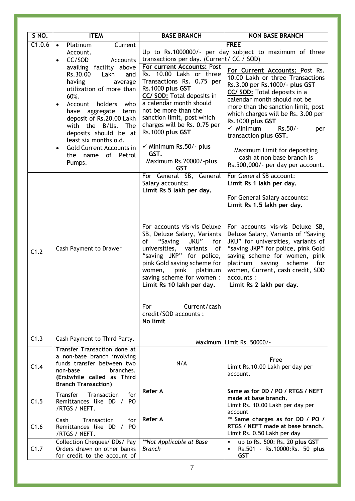| <b>S NO.</b> | <b>ITEM</b>                                                                                                                                                                                                                                                                                                                                                                                                                                               | <b>BASE BRANCH</b>                                                                                                                                                                                                                                                                                                                                                                                                      | <b>NON BASE BRANCH</b>                                                                                                                                                                                                                                                                                                                                                                                                                                                                                                |
|--------------|-----------------------------------------------------------------------------------------------------------------------------------------------------------------------------------------------------------------------------------------------------------------------------------------------------------------------------------------------------------------------------------------------------------------------------------------------------------|-------------------------------------------------------------------------------------------------------------------------------------------------------------------------------------------------------------------------------------------------------------------------------------------------------------------------------------------------------------------------------------------------------------------------|-----------------------------------------------------------------------------------------------------------------------------------------------------------------------------------------------------------------------------------------------------------------------------------------------------------------------------------------------------------------------------------------------------------------------------------------------------------------------------------------------------------------------|
| C1.0.6       | Current<br>Platinum<br>$\bullet$<br>Account.<br>CC/SOD<br>Accounts<br>$\bullet$<br>availing facility above<br>Rs.30.00<br>Lakh<br>and<br>having<br>average<br>utilization of more than<br>60%.<br>Account<br>holders<br>who<br>$\bullet$<br>have aggregate<br>term<br>deposit of Rs.20.00 Lakh<br>with the B/Us. The<br>deposits should be at<br>least six months old.<br><b>Gold Current Accounts in</b><br>$\bullet$<br>of Petrol<br>the name<br>Pumps. | transactions per day. (Current/ CC / SOD)<br>For current Accounts: Post<br>Rs. 10.00 Lakh or three<br>Transactions Rs. 0.75 per<br>Rs.1000 plus GST<br>CC/ SOD: Total deposits in<br>a calendar month should<br>not be more than the<br>sanction limit, post which<br>charges will be Rs. 0.75 per<br>Rs.1000 plus GST<br>$\checkmark$ Minimum Rs.50/- plus<br>GST.<br>Maximum Rs.20000/-plus<br><b>GST</b>             | <b>FREE</b><br>Up to Rs.1000000/- per day subject to maximum of three<br>For Current Accounts: Post Rs.<br>10.00 Lakh or three Transactions<br>Rs.3.00 per Rs.1000/- plus GST<br>CC/ SOD: Total deposits in a<br>calendar month should not be<br>more than the sanction limit, post<br>which charges will be Rs. 3.00 per<br>Rs.1000 plus GST<br>$\checkmark$ Minimum<br>$Rs.50/-$<br>per<br>transaction plus GST.<br>Maximum Limit for depositing<br>cash at non base branch is<br>Rs.500,000/- per day per account. |
| C1.2         | Cash Payment to Drawer                                                                                                                                                                                                                                                                                                                                                                                                                                    | For General SB, General<br>Salary accounts:<br>Limit Rs 5 lakh per day.<br>For accounts vis-vis Deluxe<br>SB, Deluxe Salary, Variants<br>JKU"<br>of<br>"Saving<br>for<br>universities,<br>variants<br>of<br>"saving JKP" for police,<br>pink Gold saving scheme for<br>women,<br>pink<br>platinum<br>saving scheme for women :<br>Limit Rs 10 lakh per day.<br>Current/cash<br>For<br>credit/SOD accounts :<br>No limit | For General SB account:<br>Limit Rs 1 lakh per day.<br>For General Salary accounts:<br>Limit Rs 1.5 lakh per day.<br>For accounts vis-vis Deluxe SB,<br>Deluxe Salary, Variants of "Saving<br>JKU" for universities, variants of<br>"saving JKP" for police, pink Gold<br>saving scheme for women, pink<br>platinum<br>saving<br>scheme<br>for<br>women, Current, cash credit, SOD<br>accounts:<br>Limit Rs 2 lakh per day.                                                                                           |
| C1.3         | Cash Payment to Third Party.                                                                                                                                                                                                                                                                                                                                                                                                                              |                                                                                                                                                                                                                                                                                                                                                                                                                         | Maximum Limit Rs. 50000/-                                                                                                                                                                                                                                                                                                                                                                                                                                                                                             |
| C1.4         | Transfer Transaction done at<br>a non-base branch involving<br>funds transfer between two<br>non-base<br>branches.<br>(Erstwhile called as Third<br><b>Branch Transaction)</b>                                                                                                                                                                                                                                                                            | N/A                                                                                                                                                                                                                                                                                                                                                                                                                     | Free<br>Limit Rs.10.00 Lakh per day per<br>account.                                                                                                                                                                                                                                                                                                                                                                                                                                                                   |
| C1.5         | Transfer<br>Transaction<br>for<br>Remittances like DD / PO<br>/RTGS / NEFT.                                                                                                                                                                                                                                                                                                                                                                               | <b>Refer A</b>                                                                                                                                                                                                                                                                                                                                                                                                          | Same as for DD / PO / RTGS / NEFT<br>made at base branch.<br>Limit Rs. 10.00 Lakh per day per<br>account                                                                                                                                                                                                                                                                                                                                                                                                              |
| C1.6         | Transaction<br>for<br>Cash<br>Remittances like DD / PO<br>/RTGS / NEFT.                                                                                                                                                                                                                                                                                                                                                                                   | <b>Refer A</b>                                                                                                                                                                                                                                                                                                                                                                                                          | ** Same charges as for DD / PO /<br>RTGS / NEFT made at base branch.<br>Limit Rs. 0.50 Lakh per day                                                                                                                                                                                                                                                                                                                                                                                                                   |
| C1.7         | Collection Cheques/ DDs/ Pay<br>Orders drawn on other banks<br>for credit to the account of                                                                                                                                                                                                                                                                                                                                                               | **Not Applicable at Base<br><b>Branch</b>                                                                                                                                                                                                                                                                                                                                                                               | up to Rs. 500: Rs. 20 plus GST<br>Rs.501 - Rs.10000:Rs. 50 plus<br><b>GST</b>                                                                                                                                                                                                                                                                                                                                                                                                                                         |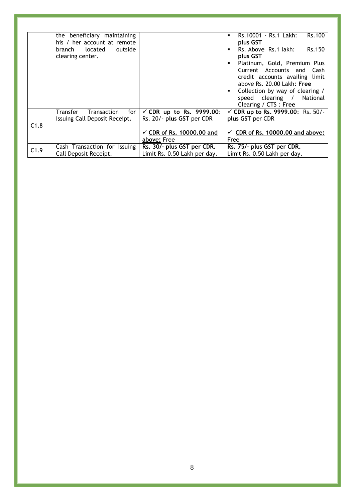|      | the beneficiary maintaining           |                                      | Rs.100<br>Rs.10001 - Rs.1 Lakh:             |
|------|---------------------------------------|--------------------------------------|---------------------------------------------|
|      | his / her account at remote           |                                      | plus GST                                    |
|      | located<br>outside<br>branch          |                                      | Rs.150<br>Rs. Above Rs.1 lakh:              |
|      | clearing center.                      |                                      | plus GST                                    |
|      |                                       |                                      | Platinum, Gold, Premium Plus                |
|      |                                       |                                      | Current Accounts and<br>Cash                |
|      |                                       |                                      | credit accounts availing limit              |
|      |                                       |                                      | above Rs. 20.00 Lakh: Free                  |
|      |                                       |                                      | Collection by way of clearing /             |
|      |                                       |                                      | speed clearing /<br>National                |
|      |                                       |                                      | Clearing / CTS : Free                       |
|      | Transfer<br>for<br><b>Transaction</b> | CDR up to Rs. 9999.00:<br>✓          | CDR up to Rs. 9999.00: Rs. 50/-<br>✓        |
|      | Issuing Call Deposit Receipt.         | Rs. 20/- plus GST per CDR            | plus GST per CDR                            |
| C1.8 |                                       |                                      |                                             |
|      |                                       | $\checkmark$ CDR of Rs. 10000.00 and | $\checkmark$ CDR of Rs. 10000.00 and above: |
|      |                                       | above: Free                          | Free                                        |
| C1.9 | Cash Transaction for Issuing          | Rs. 30/- plus GST per CDR.           | Rs. 75/- plus GST per CDR.                  |
|      | Call Deposit Receipt.                 | Limit Rs. 0.50 Lakh per day.         | Limit Rs. 0.50 Lakh per day.                |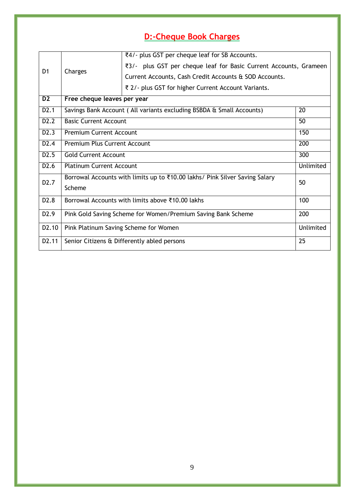## <span id="page-8-1"></span>**D:-Cheque Book Charges**

<span id="page-8-0"></span>

|                    |                                                                                   | ₹4/- plus GST per cheque leaf for SB Accounts.                       |    |  |  |  |
|--------------------|-----------------------------------------------------------------------------------|----------------------------------------------------------------------|----|--|--|--|
| D <sub>1</sub>     |                                                                                   | ₹3/- plus GST per cheque leaf for Basic Current Accounts, Grameen    |    |  |  |  |
|                    | Charges                                                                           | Current Accounts, Cash Credit Accounts & SOD Accounts.               |    |  |  |  |
|                    |                                                                                   | ₹ 2/- plus GST for higher Current Account Variants.                  |    |  |  |  |
| D <sub>2</sub>     | Free cheque leaves per year                                                       |                                                                      |    |  |  |  |
| D2.1               |                                                                                   | Savings Bank Account (All variants excluding BSBDA & Small Accounts) | 20 |  |  |  |
| D2.2               | <b>Basic Current Account</b>                                                      |                                                                      | 50 |  |  |  |
| D2.3               | 150<br><b>Premium Current Account</b>                                             |                                                                      |    |  |  |  |
| D <sub>2</sub> .4  | Premium Plus Current Account<br>200                                               |                                                                      |    |  |  |  |
| D2.5               | <b>Gold Current Account</b><br>300                                                |                                                                      |    |  |  |  |
| D <sub>2</sub> .6  | Unlimited<br><b>Platinum Current Account</b>                                      |                                                                      |    |  |  |  |
| D <sub>2</sub> .7  | Borrowal Accounts with limits up to ₹10.00 lakhs/ Pink Silver Saving Salary<br>50 |                                                                      |    |  |  |  |
|                    | Scheme                                                                            |                                                                      |    |  |  |  |
| D <sub>2</sub> .8  | 100<br>Borrowal Accounts with limits above ₹10.00 lakhs                           |                                                                      |    |  |  |  |
| D <sub>2.9</sub>   | Pink Gold Saving Scheme for Women/Premium Saving Bank Scheme<br>200               |                                                                      |    |  |  |  |
| D <sub>2</sub> .10 | Unlimited<br>Pink Platinum Saving Scheme for Women                                |                                                                      |    |  |  |  |
| D2.11              | 25<br>Senior Citizens & Differently abled persons                                 |                                                                      |    |  |  |  |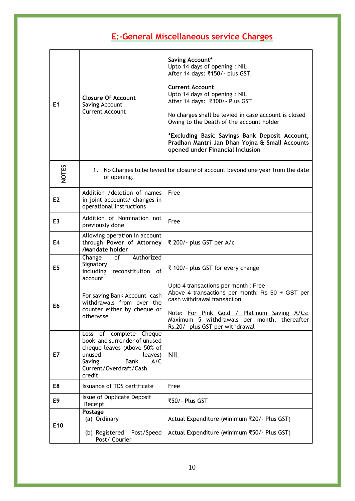## **E:-General Miscellaneous service Charges**

| E1              | <b>Closure Of Account</b><br>Saving Account<br><b>Current Account</b>                                                                                                           | Saving Account*<br>Upto 14 days of opening: NIL<br>After 14 days: ₹150/- plus GST<br><b>Current Account</b><br>Upto 14 days of opening: NIL<br>After 14 days: ₹300/- Plus GST<br>No charges shall be levied in case account is closed<br>Owing to the Death of the account holder<br>*Excluding Basic Savings Bank Deposit Account,<br>Pradhan Mantri Jan Dhan Yojna & Small Accounts<br>opened under Financial Inclusion |  |
|-----------------|---------------------------------------------------------------------------------------------------------------------------------------------------------------------------------|---------------------------------------------------------------------------------------------------------------------------------------------------------------------------------------------------------------------------------------------------------------------------------------------------------------------------------------------------------------------------------------------------------------------------|--|
| <b>NOTES</b>    | of opening.                                                                                                                                                                     | 1. No Charges to be levied for closure of account beyond one year from the date                                                                                                                                                                                                                                                                                                                                           |  |
| E <sub>2</sub>  | Addition / deletion of names<br>in joint accounts/ changes in<br>operational instructions                                                                                       | Free                                                                                                                                                                                                                                                                                                                                                                                                                      |  |
| E3              | Addition of Nomination not<br>previously done                                                                                                                                   | Free                                                                                                                                                                                                                                                                                                                                                                                                                      |  |
| E4              | Allowing operation in account<br>through Power of Attorney<br>/Mandate holder                                                                                                   | ₹ 200/- plus GST per A/c                                                                                                                                                                                                                                                                                                                                                                                                  |  |
| E5              | Authorized<br>Change<br>of<br>Signatory<br>including reconstitution of<br>account                                                                                               | ₹ 100/- plus GST for every change                                                                                                                                                                                                                                                                                                                                                                                         |  |
| E6              | For saving Bank Account cash<br>withdrawals from over the<br>counter either by cheque or<br>otherwise                                                                           | Upto 4 transactions per month : Free<br>Above 4 transactions per month: $Rs$ 50 + GST per<br>cash withdrawal transaction.<br>Note: For Pink Gold / Platinum Saving A/Cs:<br>Maximum 5 withdrawals per month, thereafter<br>Rs.20/- plus GST per withdrawal                                                                                                                                                                |  |
| E7              | Loss of complete Cheque<br>book and surrender of unused<br>cheque leaves (Above 50% of<br>unused<br>leaves)<br>Saving<br><b>Bank</b><br>A/C<br>Current/Overdraft/Cash<br>credit | NIL                                                                                                                                                                                                                                                                                                                                                                                                                       |  |
| E8              | Issuance of TDS certificate                                                                                                                                                     | Free                                                                                                                                                                                                                                                                                                                                                                                                                      |  |
| E9              | Issue of Duplicate Deposit<br>Receipt                                                                                                                                           | ₹50/- Plus GST                                                                                                                                                                                                                                                                                                                                                                                                            |  |
| E <sub>10</sub> | Postage<br>(a) Ordinary<br>(b) Registered Post/Speed<br>Post/ Courier                                                                                                           | Actual Expenditure (Minimum ₹20/- Plus GST)<br>Actual Expenditure (Minimum ₹50/- Plus GST)                                                                                                                                                                                                                                                                                                                                |  |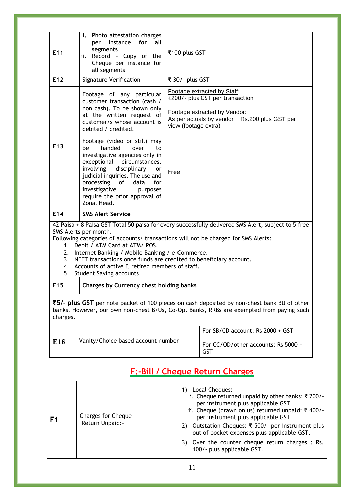| E <sub>11</sub>                                                                                                                                                                                                                                                                                                                                                                                                                                                          | i. Photo attestation charges<br>instance for<br>all<br>per<br>segments<br>ii. Record - Copy of the<br>Cheque per instance for<br>all segments                                                                                                                                                                        | ₹100 plus GST                                                                                                                                                            |                                                                                         |  |  |
|--------------------------------------------------------------------------------------------------------------------------------------------------------------------------------------------------------------------------------------------------------------------------------------------------------------------------------------------------------------------------------------------------------------------------------------------------------------------------|----------------------------------------------------------------------------------------------------------------------------------------------------------------------------------------------------------------------------------------------------------------------------------------------------------------------|--------------------------------------------------------------------------------------------------------------------------------------------------------------------------|-----------------------------------------------------------------------------------------|--|--|
| E <sub>12</sub>                                                                                                                                                                                                                                                                                                                                                                                                                                                          | <b>Signature Verification</b>                                                                                                                                                                                                                                                                                        |                                                                                                                                                                          | ₹ 30/- plus GST                                                                         |  |  |
|                                                                                                                                                                                                                                                                                                                                                                                                                                                                          | Footage of any particular<br>customer transaction (cash /<br>non cash). To be shown only<br>at the written request of<br>customer/s whose account is<br>debited / credited.                                                                                                                                          | Footage extracted by Staff:<br>₹200/- plus GST per transaction<br>Footage extracted by Vendor:<br>As per actuals by vendor + Rs.200 plus GST per<br>view (footage extra) |                                                                                         |  |  |
| E <sub>13</sub>                                                                                                                                                                                                                                                                                                                                                                                                                                                          | Footage (video or still) may<br>handed<br>be<br>over<br>to<br>investigative agencies only in<br>exceptional circumstances,<br>disciplinary<br>involving<br><b>or</b><br>judicial inquiries. The use and<br>processing of<br>data<br>for<br>investigative<br>purposes<br>require the prior approval of<br>Zonal Head. | Free                                                                                                                                                                     |                                                                                         |  |  |
| E <sub>14</sub>                                                                                                                                                                                                                                                                                                                                                                                                                                                          | <b>SMS Alert Service</b>                                                                                                                                                                                                                                                                                             |                                                                                                                                                                          |                                                                                         |  |  |
| 42 Paisa + 8 Paisa GST Total 50 paisa for every successfully delivered SMS Alert, subject to 5 free<br>SMS Alerts per month.<br>Following categories of accounts/ transactions will not be charged for SMS Alerts:<br>1. Debit / ATM Card at ATM/ POS.<br>2. Internet Banking / Mobile Banking / e-Commerce.<br>3. NEFT transactions once funds are credited to beneficiary account.<br>4. Accounts of active & retired members of staff.<br>5. Student Saving accounts. |                                                                                                                                                                                                                                                                                                                      |                                                                                                                                                                          |                                                                                         |  |  |
| E <sub>15</sub>                                                                                                                                                                                                                                                                                                                                                                                                                                                          | Charges by Currency chest holding banks                                                                                                                                                                                                                                                                              |                                                                                                                                                                          |                                                                                         |  |  |
| charges.                                                                                                                                                                                                                                                                                                                                                                                                                                                                 | ₹5/- plus GST per note packet of 100 pieces on cash deposited by non-chest bank BU of other<br>banks. However, our own non-chest B/Us, Co-Op. Banks, RRBs are exempted from paying such                                                                                                                              |                                                                                                                                                                          |                                                                                         |  |  |
| E16                                                                                                                                                                                                                                                                                                                                                                                                                                                                      | Vanity/Choice based account number                                                                                                                                                                                                                                                                                   |                                                                                                                                                                          | For SB/CD account: Rs $2000 + GST$<br>For CC/OD/other accounts: Rs 5000 +<br><b>GST</b> |  |  |

## **F:-Bill / Cheque Return Charges**

| F1 | Charges for Cheque<br>Return Unpaid:- | Local Cheques:<br>1)<br>i. Cheque returned unpaid by other banks: ₹ 200/-<br>per instrument plus applicable GST<br>ii. Cheque (drawn on us) returned unpaid: ₹ 400/-<br>per instrument plus applicable GST<br>Outstation Cheques: ₹ 500/- per instrument plus<br>2)<br>out of pocket expenses plus applicable GST.<br>Over the counter cheque return charges : Rs.<br>3)<br>100/- plus applicable GST. |
|----|---------------------------------------|--------------------------------------------------------------------------------------------------------------------------------------------------------------------------------------------------------------------------------------------------------------------------------------------------------------------------------------------------------------------------------------------------------|
|----|---------------------------------------|--------------------------------------------------------------------------------------------------------------------------------------------------------------------------------------------------------------------------------------------------------------------------------------------------------------------------------------------------------------------------------------------------------|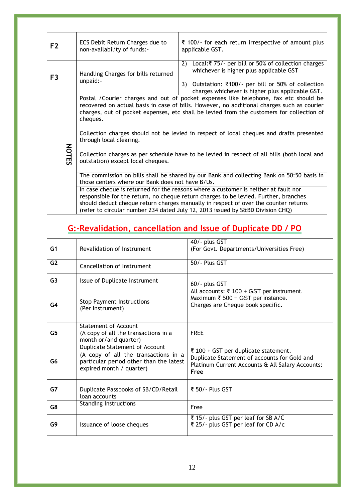| F <sub>2</sub> | ECS Debit Return Charges due to<br>non-availability of funds:-                                                                                                                                                                                                                                                                                                                                                      | ₹ 100/- for each return irrespective of amount plus<br>applicable GST.                                                                                                                                            |  |  |  |  |  |  |
|----------------|---------------------------------------------------------------------------------------------------------------------------------------------------------------------------------------------------------------------------------------------------------------------------------------------------------------------------------------------------------------------------------------------------------------------|-------------------------------------------------------------------------------------------------------------------------------------------------------------------------------------------------------------------|--|--|--|--|--|--|
| F <sub>3</sub> | Handling Charges for bills returned<br>unpaid:-                                                                                                                                                                                                                                                                                                                                                                     | Local:₹ 75/- per bill or 50% of collection charges<br>2)<br>whichever is higher plus applicable GST<br>Outstation: ₹100/- per bill or 50% of collection<br>3)<br>charges whichever is higher plus applicable GST. |  |  |  |  |  |  |
|                | Postal / Courier charges and out of pocket expenses like telephone, fax etc should be<br>recovered on actual basis in case of bills. However, no additional charges such as courier<br>charges, out of pocket expenses, etc shall be levied from the customers for collection of<br>cheques.<br>Collection charges should not be levied in respect of local cheques and drafts presented<br>through local clearing. |                                                                                                                                                                                                                   |  |  |  |  |  |  |
|                | <b>NOTES</b><br>Collection charges as per schedule have to be levied in respect of all bills (both local and<br>outstation) except local cheques.                                                                                                                                                                                                                                                                   |                                                                                                                                                                                                                   |  |  |  |  |  |  |
|                | The commission on bills shall be shared by our Bank and collecting Bank on 50:50 basis in<br>those centers where our Bank does not have B/Us.                                                                                                                                                                                                                                                                       |                                                                                                                                                                                                                   |  |  |  |  |  |  |
|                | In case cheque is returned for the reasons where a customer is neither at fault nor<br>responsible for the return, no cheque return charges to be levied. Further, branches<br>should deduct cheque return charges manually in respect of over the counter returns<br>(refer to circular number 234 dated July 12, 2013 issued by S&BD Division CHQ)                                                                |                                                                                                                                                                                                                   |  |  |  |  |  |  |

## <span id="page-11-0"></span>**G:-Revalidation, cancellation and Issue of Duplicate DD / PO**

<span id="page-11-1"></span>

| G1             | Revalidation of Instrument                                                                                                                    | 40/- plus GST<br>(For Govt. Departments/Universities Free)                                                                                       |  |  |
|----------------|-----------------------------------------------------------------------------------------------------------------------------------------------|--------------------------------------------------------------------------------------------------------------------------------------------------|--|--|
| G <sub>2</sub> | Cancellation of Instrument                                                                                                                    | 50/- Plus GST                                                                                                                                    |  |  |
| G <sub>3</sub> | Issue of Duplicate Instrument                                                                                                                 | 60/- plus GST                                                                                                                                    |  |  |
| G <sub>4</sub> | <b>Stop Payment Instructions</b><br>(Per Instrument)                                                                                          | All accounts: ₹ 100 + GST per instrument.<br>Maximum $\overline{\xi}$ 500 + GST per instance.<br>Charges are Cheque book specific.               |  |  |
| G <sub>5</sub> | <b>Statement of Account</b><br>(A copy of all the transactions in a<br>month or/and quarter)                                                  | <b>FREE</b>                                                                                                                                      |  |  |
| G6             | Duplicate Statement of Account<br>(A copy of all the transactions in a<br>particular period other than the latest<br>expired month / quarter) | ₹ 100 + GST per duplicate statement.<br>Duplicate Statement of accounts for Gold and<br>Platinum Current Accounts & All Salary Accounts:<br>Free |  |  |
| G7             | Duplicate Passbooks of SB/CD/Retail<br>loan accounts                                                                                          | ₹ 50/ - Plus GST                                                                                                                                 |  |  |
| G8             | <b>Standing Instructions</b>                                                                                                                  | Free                                                                                                                                             |  |  |
| G9             | Issuance of loose cheques                                                                                                                     | ₹ 15/- plus GST per leaf for SB A/C<br>₹ 25/- plus GST per leaf for CD A/c                                                                       |  |  |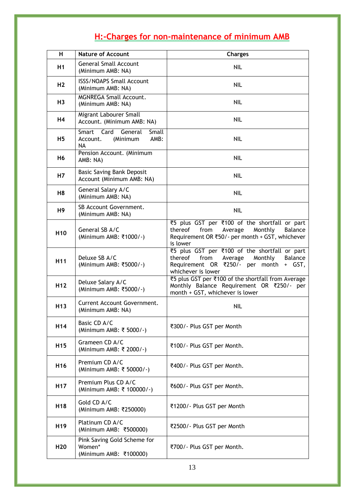## **H:-Charges for non-maintenance of minimum AMB**

| н               | <b>Nature of Account</b>                                                    | <b>Charges</b>                                                                                                                                                 |
|-----------------|-----------------------------------------------------------------------------|----------------------------------------------------------------------------------------------------------------------------------------------------------------|
| H1              | <b>General Small Account</b><br>(Minimum AMB: NA)                           | NIL                                                                                                                                                            |
| H <sub>2</sub>  | <b>ISSS/NOAPS Small Account</b><br>(Minimum AMB: NA)                        | <b>NIL</b>                                                                                                                                                     |
| H <sub>3</sub>  | <b>MGNREGA Small Account.</b><br>(Minimum AMB: NA)                          | NIL                                                                                                                                                            |
| <b>H4</b>       | Migrant Labourer Small<br>Account. (Minimum AMB: NA)                        | <b>NIL</b>                                                                                                                                                     |
| H5              | Smart Card<br>General<br>Small<br>(Minimum<br>AMB:<br>Account.<br><b>NA</b> | NIL                                                                                                                                                            |
| H <sub>6</sub>  | Pension Account. (Minimum<br>AMB: NA)                                       | <b>NIL</b>                                                                                                                                                     |
| H7              | <b>Basic Saving Bank Deposit</b><br>Account (Minimum AMB: NA)               | <b>NIL</b>                                                                                                                                                     |
| H8              | General Salary A/C<br>(Minimum AMB: NA)                                     | NIL                                                                                                                                                            |
| H9              | SB Account Government.<br>(Minimum AMB: NA)                                 | <b>NIL</b>                                                                                                                                                     |
| H <sub>10</sub> | General SB A/C<br>(Minimum AMB: ₹1000/-)                                    | ₹5 plus GST per ₹100 of the shortfall or part<br>thereof from<br>Average<br>Monthly<br>Balance<br>Requirement OR ₹50/- per month + GST, whichever<br>is lower  |
| H <sub>11</sub> | Deluxe SB A/C<br>(Minimum AMB: ₹5000/-)                                     | ₹5 plus GST per ₹100 of the shortfall or part<br>Balance<br>thereof from<br>Average<br>Monthly<br>Requirement OR ₹250/- per month + GST,<br>whichever is lower |
| H <sub>12</sub> | Deluxe Salary A/C<br>(Minimum AMB: ₹5000/-)                                 | ₹5 plus GST per ₹100 of the shortfall from Average<br>Monthly Balance Requirement OR ₹250/- per<br>month + GST, whichever is lower                             |
| H <sub>13</sub> | <b>Current Account Government.</b><br>(Minimum AMB: NA)                     | <b>NIL</b>                                                                                                                                                     |
| H <sub>14</sub> | Basic CD A/C<br>(Minimum AMB: ₹ 5000/-)                                     | ₹300/- Plus GST per Month                                                                                                                                      |
| H <sub>15</sub> | Grameen CD A/C<br>(Minimum AMB: ₹ 2000/-)                                   | ₹100/- Plus GST per Month.                                                                                                                                     |
| H <sub>16</sub> | Premium CD A/C<br>(Minimum AMB: ₹ 50000/-)                                  | ₹400/- Plus GST per Month.                                                                                                                                     |
| H <sub>17</sub> | Premium Plus CD A/C<br>(Minimum AMB: ₹ 100000/-)                            | ₹600/- Plus GST per Month.                                                                                                                                     |
| H <sub>18</sub> | Gold CD A/C<br>(Minimum AMB: ₹250000)                                       | ₹1200/- Plus GST per Month                                                                                                                                     |
| H <sub>19</sub> | Platinum CD A/C<br>(Minimum AMB: ₹500000)                                   | ₹2500/- Plus GST per Month                                                                                                                                     |
| H <sub>20</sub> | Pink Saving Gold Scheme for<br>Women*<br>(Minimum AMB: ₹100000)             | ₹700/- Plus GST per Month.                                                                                                                                     |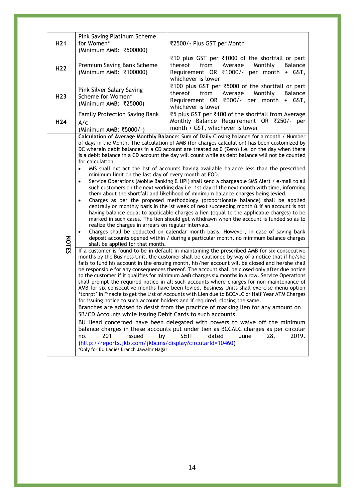<span id="page-13-0"></span>

| H <sub>21</sub> | Pink Saving Platinum Scheme<br>for Women*<br>(Minimum AMB: ₹500000)                                                                                                                                                                                                                                                                                                                                                                                                                                                                                                                                                                                                                                                                                                                                                                                                                                                                                                                                                                                                                                                                                                                                                                                                                                                                                                                                                                                                                                                                                                                                                                                                                                                                                                                                                                                                                                                                                                                                                                                                                                                                                                                                                                                                                                                                                                                                                                                                                                                                                                                                                                                                                                                                                                                                                                                          | ₹2500/- Plus GST per Month                                                                                                                                                  |  |  |  |  |  |
|-----------------|--------------------------------------------------------------------------------------------------------------------------------------------------------------------------------------------------------------------------------------------------------------------------------------------------------------------------------------------------------------------------------------------------------------------------------------------------------------------------------------------------------------------------------------------------------------------------------------------------------------------------------------------------------------------------------------------------------------------------------------------------------------------------------------------------------------------------------------------------------------------------------------------------------------------------------------------------------------------------------------------------------------------------------------------------------------------------------------------------------------------------------------------------------------------------------------------------------------------------------------------------------------------------------------------------------------------------------------------------------------------------------------------------------------------------------------------------------------------------------------------------------------------------------------------------------------------------------------------------------------------------------------------------------------------------------------------------------------------------------------------------------------------------------------------------------------------------------------------------------------------------------------------------------------------------------------------------------------------------------------------------------------------------------------------------------------------------------------------------------------------------------------------------------------------------------------------------------------------------------------------------------------------------------------------------------------------------------------------------------------------------------------------------------------------------------------------------------------------------------------------------------------------------------------------------------------------------------------------------------------------------------------------------------------------------------------------------------------------------------------------------------------------------------------------------------------------------------------------------------------|-----------------------------------------------------------------------------------------------------------------------------------------------------------------------------|--|--|--|--|--|
| H <sub>22</sub> | Premium Saving Bank Scheme<br>(Minimum AMB: ₹100000)                                                                                                                                                                                                                                                                                                                                                                                                                                                                                                                                                                                                                                                                                                                                                                                                                                                                                                                                                                                                                                                                                                                                                                                                                                                                                                                                                                                                                                                                                                                                                                                                                                                                                                                                                                                                                                                                                                                                                                                                                                                                                                                                                                                                                                                                                                                                                                                                                                                                                                                                                                                                                                                                                                                                                                                                         | ₹10 plus GST per ₹1000 of the shortfall or part<br>thereof<br>from<br>Average<br>Monthly<br><b>Balance</b><br>Requirement OR ₹1000/- per month + GST,<br>whichever is lower |  |  |  |  |  |
| H <sub>23</sub> | ₹100 plus GST per ₹5000 of the shortfall or part<br>Pink Silver Salary Saving<br>thereof<br>from<br>Average<br>Monthly<br>Balance<br>Scheme for Women*<br>Requirement OR ₹500/- per month<br>+ GST,<br>(Minimum AMB: ₹25000)<br>whichever is lower                                                                                                                                                                                                                                                                                                                                                                                                                                                                                                                                                                                                                                                                                                                                                                                                                                                                                                                                                                                                                                                                                                                                                                                                                                                                                                                                                                                                                                                                                                                                                                                                                                                                                                                                                                                                                                                                                                                                                                                                                                                                                                                                                                                                                                                                                                                                                                                                                                                                                                                                                                                                           |                                                                                                                                                                             |  |  |  |  |  |
| H <sub>24</sub> | ₹5 plus GST per ₹100 of the shortfall from Average<br><b>Family Protection Saving Bank</b><br>Monthly Balance Requirement OR ₹250/- per<br>A/c<br>month + GST, whichever is lower<br>(Minimum AMB: ₹5000/-)                                                                                                                                                                                                                                                                                                                                                                                                                                                                                                                                                                                                                                                                                                                                                                                                                                                                                                                                                                                                                                                                                                                                                                                                                                                                                                                                                                                                                                                                                                                                                                                                                                                                                                                                                                                                                                                                                                                                                                                                                                                                                                                                                                                                                                                                                                                                                                                                                                                                                                                                                                                                                                                  |                                                                                                                                                                             |  |  |  |  |  |
| <b>NOTES</b>    | Calculation of Average Monthly Balance: Sum of Daily Closing balance for a month / Number<br>of days in the Month. The calculation of AMB (for charges calculation) has been customized by<br>DC wherein debit balances in a CD account are treated as 0 (Zero) i.e. on the day when there<br>is a debit balance in a CD account the day will count while as debt balance will not be counted<br>for calculation.<br>MIS shall extract the list of accounts having available balance less than the prescribed<br>$\bullet$<br>minimum limit on the last day of every month at EOD.<br>Service Operations (Mobile Banking & UPI) shall send a chargeable SMS Alert / e-mail to all<br>$\bullet$<br>such customers on the next working day i.e. 1st day of the next month with time, informing<br>them about the shortfall and likelihood of minimum balance charges being levied.<br>Charges as per the proposed methodology (proportionate balance) shall be applied<br>$\bullet$<br>centrally on monthly basis in the Ist week of next succeeding month & if an account is not<br>having balance equal to applicable charges a lien (equal to the applicable charges) to be<br>marked in such cases. The lien should get withdrawn when the account is funded so as to<br>realize the charges in arrears on regular intervals.<br>Charges shall be deducted on calendar month basis. However, in case of saving bank<br>$\bullet$<br>deposit accounts opened within / during a particular month, no minimum balance charges<br>shall be applied for that month.<br>If a customer is found to be in default in maintaining the prescribed AMB for six consecutive<br>months by the Business Unit, the customer shall be cautioned by way of a notice that if he/she<br>fails to fund his account in the ensuing month, his/her account will be closed and he/she shall<br>be responsible for any consequences thereof. The account shall be closed only after due notice<br>to the customer if it qualifies for minimum AMB charges six months in a row. Service Operations<br>shall prompt the required notice in all such accounts where charges for non-maintenance of<br>AMB for six consecutive months have been levied. Business Units shall exercise menu option<br>txnrpt' in Finacle to get the List of Accounts with Lien due to BCCALC or Half Year ATM Charges '<br>for issuing notice to such account holders and if required, closing the same.<br>Branches are advised to desist from the practice of marking lien for any amount on<br>SB/CD Accounts while issuing Debit Cards to such accounts.<br>BU Head concerned have been delegated with powers to waive off the minimum<br>balance charges in these accounts put under lien as BCCALC charges as per circular<br>201<br>issued<br>S&IT<br>dated<br>no.<br>by<br>June<br>2019.<br>28, |                                                                                                                                                                             |  |  |  |  |  |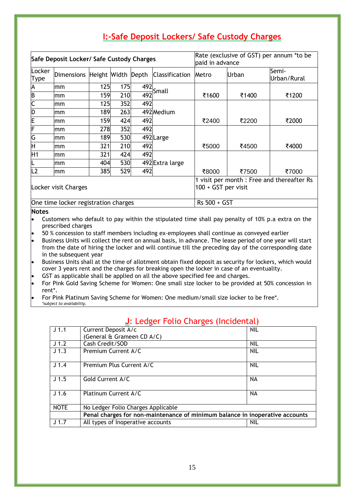| I:-Safe Deposit Lockers/ Safe Custody Charges |
|-----------------------------------------------|
|-----------------------------------------------|

| Safe Deposit Locker/ Safe Custody Charges |                               |      |     | Rate (exclusive of GST) per annum *to be<br>paid in advance       |                         |       |       |                      |
|-------------------------------------------|-------------------------------|------|-----|-------------------------------------------------------------------|-------------------------|-------|-------|----------------------|
| Locker<br><b>Type</b>                     | Dimensions Height Width Depth |      |     |                                                                   | <b>Classification</b>   | Metro | Urban | Semi-<br>Urban/Rural |
| A                                         | mm                            | 125  | 175 |                                                                   | $\frac{492}{492}$ Small |       |       |                      |
| $\overline{B}$                            | mm                            | 159  | 210 |                                                                   |                         | ₹1600 | ₹1400 | ₹1200                |
| $\overline{\mathsf{C}}$                   | mm                            | 125  | 352 | 492                                                               |                         |       |       |                      |
| D                                         | mm                            | 189  | 263 |                                                                   | 492 Medium              |       |       |                      |
| E                                         | mm                            | 159  | 424 | 492                                                               |                         | ₹2400 | ₹2200 | ₹2000                |
| F                                         | mm                            | 278  | 352 | 492                                                               |                         |       |       |                      |
| G                                         | mm                            | 189  | 530 |                                                                   | 492Large                |       |       |                      |
| Η                                         | mm                            | 321  | 210 | 492                                                               |                         | ₹5000 | ₹4500 | ₹4000                |
| H1                                        | mm                            | 321l | 424 | 492                                                               |                         |       |       |                      |
|                                           | mm                            | 404  | 530 |                                                                   | 492 Extra large         |       |       |                      |
| L2                                        | mm                            | 385  | 529 | 492                                                               |                         | ₹8000 | ₹7500 | ₹7000                |
| Locker visit Charges                      |                               |      |     | 1 visit per month : Free and thereafter Rs<br>100 + GST per visit |                         |       |       |                      |
| One time locker registration charges      |                               |      |     | Rs 500 + GST                                                      |                         |       |       |                      |

#### **Notes**

- Customers who default to pay within the stipulated time shall pay penalty of 10% p.a extra on the prescribed charges
- 50 % concession to staff members including ex-employees shall continue as conveyed earlier
- Business Units will collect the rent on annual basis, in advance. The lease period of one year will start from the date of hiring the locker and will continue till the preceding day of the corresponding date in the subsequent year
- Business Units shall at the time of allotment obtain fixed deposit as security for lockers, which would cover 3 years rent and the charges for breaking open the locker in case of an eventuality.
- GST as applicable shall be applied on all the above specified fee and charges.
- For Pink Gold Saving Scheme for Women: One small size locker to be provided at 50% concession in rent\*.
- For Pink Platinum Saving Scheme for Women: One medium/small size locker to be free\*. *\*subject to availability.*

<span id="page-14-1"></span><span id="page-14-0"></span>

| J <sub>1.1</sub> | Current Deposit A/c                                                          | <b>NIL</b> |  |  |  |  |
|------------------|------------------------------------------------------------------------------|------------|--|--|--|--|
|                  | (General & Grameen CD A/C)                                                   |            |  |  |  |  |
| J <sub>1.2</sub> | Cash Credit/SOD                                                              | <b>NIL</b> |  |  |  |  |
| J <sub>1.3</sub> | Premium Current A/C                                                          | <b>NIL</b> |  |  |  |  |
| J <sub>1.4</sub> | Premium Plus Current A/C                                                     | <b>NIL</b> |  |  |  |  |
| J <sub>1.5</sub> | Gold Current A/C                                                             | NA.        |  |  |  |  |
| J <sub>1.6</sub> | Platinum Current A/C                                                         | NA.        |  |  |  |  |
| <b>NOTE</b>      | No Ledger Folio Charges Applicable                                           |            |  |  |  |  |
|                  | Penal charges for non-maintenance of minimum balance in inoperative accounts |            |  |  |  |  |
| J <sub>1.7</sub> | All types of Inoperative accounts<br><b>NIL</b>                              |            |  |  |  |  |

#### **J**: Ledger Folio Charges (Incidental)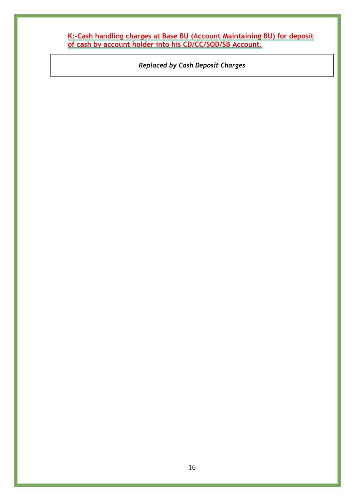<span id="page-15-0"></span>**K:-Cash handling charges at Base BU (Account Maintaining BU) for deposit of cash by account holder into his CD/CC/SOD/SB Account.**

*Replaced by Cash Deposit Charges*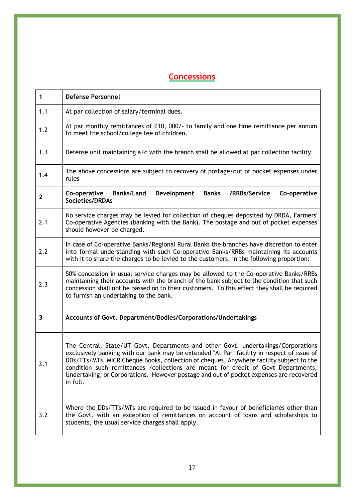## <span id="page-16-0"></span>**Concessions**

| $\mathbf{1}$ | <b>Defense Personnel</b>                                                                                                                                                                                                                                                                                                                                                                                                                                               |
|--------------|------------------------------------------------------------------------------------------------------------------------------------------------------------------------------------------------------------------------------------------------------------------------------------------------------------------------------------------------------------------------------------------------------------------------------------------------------------------------|
| 1.1          | At par collection of salary/terminal dues.                                                                                                                                                                                                                                                                                                                                                                                                                             |
| 1.2          | At par monthly remittances of $\bar{\tau}$ 10, 000/- to family and one time remittance per annum<br>to meet the school/college fee of children.                                                                                                                                                                                                                                                                                                                        |
| 1.3          | Defense unit maintaining a/c with the branch shall be allowed at par collection facility.                                                                                                                                                                                                                                                                                                                                                                              |
| 1.4          | The above concessions are subject to recovery of postage/out of pocket expenses under<br>rules                                                                                                                                                                                                                                                                                                                                                                         |
| $\mathbf{2}$ | <b>Banks/Land</b><br>Development<br><b>Banks</b><br>/RRBs/Service<br>Co-operative<br>Co-operative<br><b>Societies/DRDAs</b>                                                                                                                                                                                                                                                                                                                                            |
| 2.1          | No service charges may be levied for collection of cheques deposited by DRDA, Farmers'<br>Co-operative Agencies (banking with the Bank). The postage and out of pocket expenses<br>should however be charged.                                                                                                                                                                                                                                                          |
| 2.2          | In case of Co-operative Banks/Regional Rural Banks the branches have discretion to enter<br>into formal understanding with such Co-operative Banks/RRBs maintaining its accounts<br>with it to share the charges to be levied to the customers, in the following proportion:                                                                                                                                                                                           |
| 2.3          | 50% concession in usual service charges may be allowed to the Co-operative Banks/RRBs<br>maintaining their accounts with the branch of the bank subject to the condition that such<br>concession shall not be passed on to their customers. To this effect they shall be required<br>to furnish an undertaking to the bank.                                                                                                                                            |
| 3            | Accounts of Govt. Department/Bodies/Corporations/Undertakings                                                                                                                                                                                                                                                                                                                                                                                                          |
| 3.1          | The Central, State/UT Govt. Departments and other Govt. undertakings/Corporations<br>exclusively banking with our bank may be extended "At Par" facility in respect of issue of<br>DDs/TTs/MTs, MICR Cheque Books, collection of cheques, Anywhere facility subject to the<br>condition such remittances / collections are meant for credit of Govt Departments,<br>Undertaking, or Corporations. However postage and out of pocket expenses are recovered<br>in full. |
| 3.2          | Where the DDs/TTs/MTs are required to be issued in favour of beneficiaries other than<br>the Govt. with an exception of remittances on account of loans and scholarships to<br>students, the usual service charges shall apply.                                                                                                                                                                                                                                        |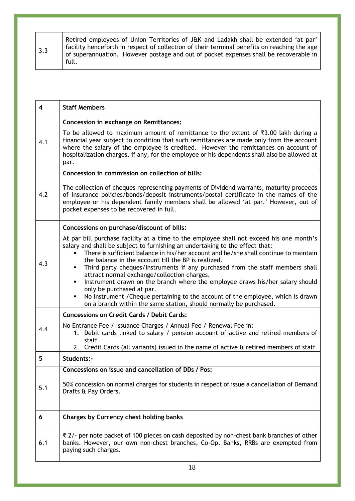| $\vert$ 3.3 | Retired employees of Union Territories of J&K and Ladakh shall be extended 'at par'<br>facility henceforth in respect of collection of their terminal benefits on reaching the age<br>of superannuation. However postage and out of pocket expenses shall be recoverable in<br>full. |
|-------------|--------------------------------------------------------------------------------------------------------------------------------------------------------------------------------------------------------------------------------------------------------------------------------------|
|-------------|--------------------------------------------------------------------------------------------------------------------------------------------------------------------------------------------------------------------------------------------------------------------------------------|

| 4   | <b>Staff Members</b>                                                                                                                                                                                                                                                                                                                                                                                                                                                                                                                                                                                                                                                                                                                                                                         |
|-----|----------------------------------------------------------------------------------------------------------------------------------------------------------------------------------------------------------------------------------------------------------------------------------------------------------------------------------------------------------------------------------------------------------------------------------------------------------------------------------------------------------------------------------------------------------------------------------------------------------------------------------------------------------------------------------------------------------------------------------------------------------------------------------------------|
| 4.1 | Concession in exchange on Remittances:<br>To be allowed to maximum amount of remittance to the extent of ₹3.00 lakh during a<br>financial year subject to condition that such remittances are made only from the account<br>where the salary of the employee is credited. However the remittances on account of<br>hospitalization charges, if any, for the employee or his dependents shall also be allowed at                                                                                                                                                                                                                                                                                                                                                                              |
| 4.2 | par.<br>Concession in commission on collection of bills:<br>The collection of cheques representing payments of Dividend warrants, maturity proceeds<br>of insurance policies/bonds/deposit instruments/postal certificate in the names of the<br>employee or his dependent family members shall be allowed 'at par.' However, out of<br>pocket expenses to be recovered in full.                                                                                                                                                                                                                                                                                                                                                                                                             |
| 4.3 | Concessions on purchase/discount of bills:<br>At par bill purchase facility at a time to the employee shall not exceed his one month's<br>salary and shall be subject to furnishing an undertaking to the effect that:<br>There is sufficient balance in his/her account and he/she shall continue to maintain<br>the balance in the account till the BP is realized.<br>Third party cheques/Instruments if any purchased from the staff members shall<br>٠<br>attract normal exchange/collection charges.<br>Instrument drawn on the branch where the employee draws his/her salary should<br>٠<br>only be purchased at par.<br>No instrument / Cheque pertaining to the account of the employee, which is drawn<br>٠<br>on a branch within the same station, should normally be purchased. |
| 4.4 | <b>Concessions on Credit Cards / Debit Cards:</b><br>No Entrance Fee / Issuance Charges / Annual Fee / Renewal Fee in:<br>1. Debit cards linked to salary / pension account of active and retired members of<br>staff<br>2. Credit Cards (all variants) issued in the name of active & retired members of staff                                                                                                                                                                                                                                                                                                                                                                                                                                                                              |
| 5   | Students:-                                                                                                                                                                                                                                                                                                                                                                                                                                                                                                                                                                                                                                                                                                                                                                                   |
| 5.1 | Concessions on issue and cancellation of DDs / Pos:<br>50% concession on normal charges for students in respect of issue a cancellation of Demand<br>Drafts & Pay Orders.                                                                                                                                                                                                                                                                                                                                                                                                                                                                                                                                                                                                                    |
| 6   | Charges by Currency chest holding banks                                                                                                                                                                                                                                                                                                                                                                                                                                                                                                                                                                                                                                                                                                                                                      |
| 6.1 | ₹ 2/- per note packet of 100 pieces on cash deposited by non-chest bank branches of other<br>banks. However, our own non-chest branches, Co-Op. Banks, RRBs are exempted from<br>paying such charges.                                                                                                                                                                                                                                                                                                                                                                                                                                                                                                                                                                                        |